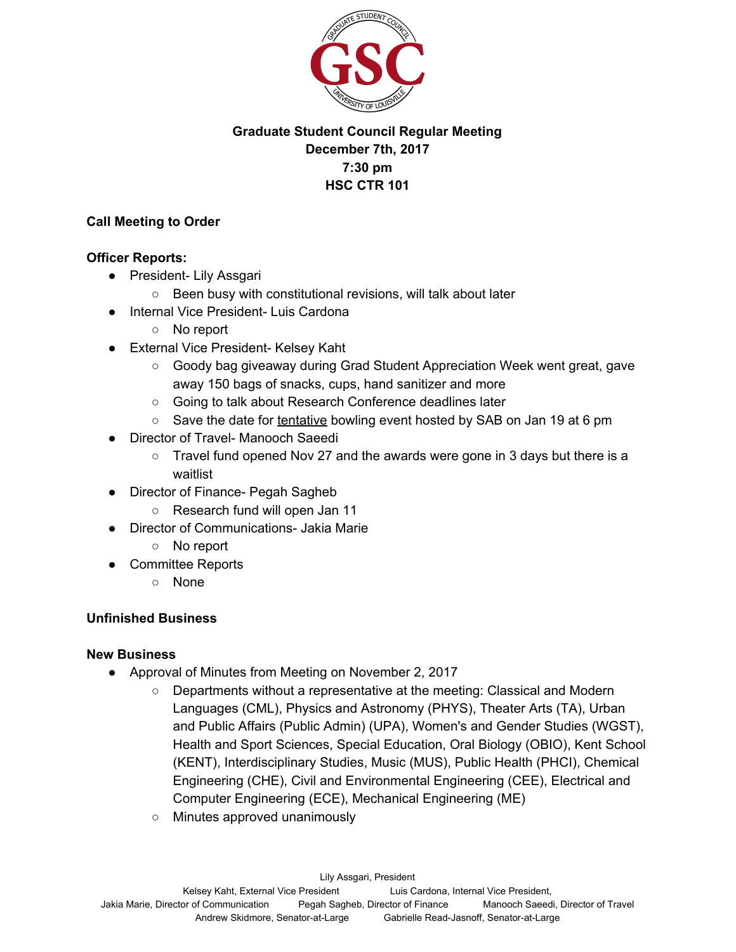

# **Graduate Student Council Regular Meeting December 7th, 2017 7:30 pm HSC CTR 101**

### **Call Meeting to Order**

#### **Officer Reports:**

- President- Lily Assgari
	- Been busy with constitutional revisions, will talk about later
- Internal Vice President- Luis Cardona
	- No report
- External Vice President- Kelsey Kaht
	- Goody bag giveaway during Grad Student Appreciation Week went great, gave away 150 bags of snacks, cups, hand sanitizer and more
	- Going to talk about Research Conference deadlines later
	- Save the date for tentative bowling event hosted by SAB on Jan 19 at 6 pm
- Director of Travel- Manooch Saeedi
	- Travel fund opened Nov 27 and the awards were gone in 3 days but there is a waitlist
- Director of Finance- Pegah Sagheb
	- Research fund will open Jan 11
- Director of Communications- Jakia Marie
	- No report
- Committee Reports
	- None

# **Unfinished Business**

#### **New Business**

- Approval of Minutes from Meeting on November 2, 2017
	- Departments without a representative at the meeting: Classical and Modern Languages (CML), Physics and Astronomy (PHYS), Theater Arts (TA), Urban and Public Affairs (Public Admin) (UPA), Women's and Gender Studies (WGST), Health and Sport Sciences, Special Education, Oral Biology (OBIO), Kent School (KENT), Interdisciplinary Studies, Music (MUS), Public Health (PHCI), Chemical Engineering (CHE), Civil and Environmental Engineering (CEE), Electrical and Computer Engineering (ECE), Mechanical Engineering (ME)
	- Minutes approved unanimously